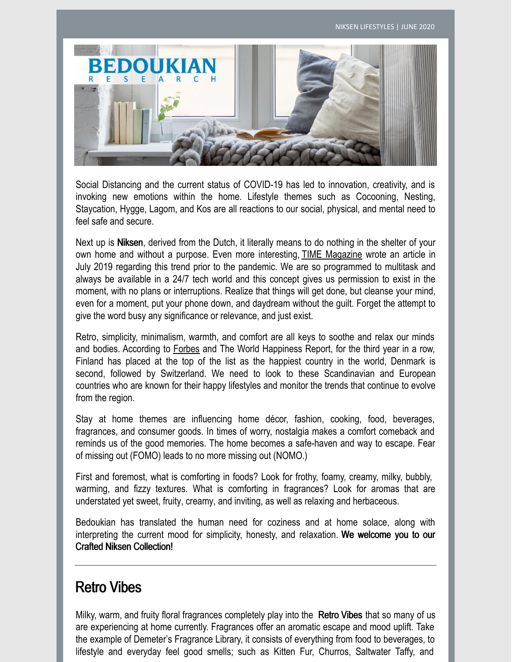

Social Distancing and the current status of COVID-19 has led to innovation, creativity, and is invoking new emotions within the home. Lifestyle themes such as Cocooning, Nesting, Staycation, Hygge, Lagom, and Kos are all reactions to our social, physical, and mental need to feel safe and secure.

Next up is Niksen, derived from the Dutch, it literally means to do nothing in the shelter of your own home and without a purpose. Even more interesting, TIME Magazine wrote an article in July 2019 regarding this trend prior to the pandemic. We are so programmed to multitask and always be available in a 24/7 tech world and this concept gives us permission to exist in the moment, with no plans or interruptions. Realize that things will get done, but cleanse your mind, even for a moment, put your phone down, and daydream without the guilt. Forget the attempt to give the word busy any significance or relevance, and just exist.

Retro, simplicity, minimalism, warmth, and comfort are all keys to soothe and relax our minds and bodies. According to Forbes and The World Happiness Report, for the third year in a row, Finland has placed at the top of the list as the happiest country in the world, Denmark is second, followed by Switzerland. We need to look to these Scandinavian and European countries who are known for their happy lifestyles and monitor the trends that continue to evolve from the region.

Stay at home themes are influencing home décor, fashion, cooking, food, beverages, fragrances, and consumer goods. In times of worry, nostalgia makes a comfort comeback and reminds us of the good memories. The home becomes a safe-haven and way to escape. Fear of missing out (FOMO) leads to no more missing out (NOMO.)

First and foremost, what is comforting in foods? Look for frothy, foamy, creamy, milky, bubbly, warming, and fizzy textures. What is comforting in fragrances? Look for aromas that are understated yet sweet, fruity, creamy, and inviting, as well as relaxing and herbaceous.

Bedoukian has translated the human need for coziness and at home solace, along with interpreting the current mood for simplicity, honesty, and relaxation. We welcome you to our Crafted Niksen Collection!

### Retro Vibes

Milky, warm, and fruity floral fragrances completely play into the Retro Vibes that so many of us are experiencing at home currently. Fragrances offer an aromatic escape and mood uplift. Take the example of Demeter's Fragrance Library, it consists of everything from food to beverages, to lifestyle and everyday feel good smells; such as Kitten Fur, Churros, Saltwater Taffy, and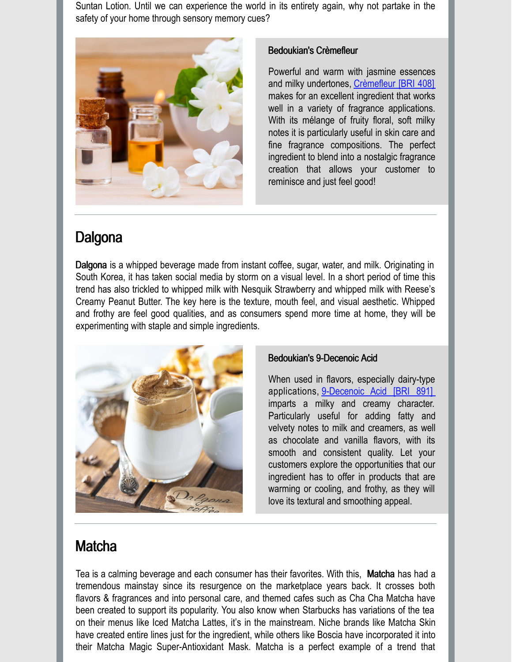Suntan Lotion. Until we can experience the world in its entirety again, why not partake in the safety of your home through sensory memory cues?



### Bedoukian's Crèmefleur

Powerful and warm with jasmine essences and milky undertones, [Crèmefleur](https://search.bedoukian.com/flavorfragrance/ff_product.asp?method=POP&id=408) [BRI 408] makes for an excellent ingredient that works well in a variety of fragrance applications. With its mélange of fruity floral, soft milky notes it is particularly useful in skin care and fine fragrance compositions. The perfect ingredient to blend into a nostalgic fragrance creation that allows your customer to reminisce and just feel good!

# **Dalgona**

Dalgona is a whipped beverage made from instant coffee, sugar, water, and milk. Originating in South Korea, it has taken social media by storm on a visual level. In a short period of time this trend has also trickled to whipped milk with Nesquik Strawberry and whipped milk with Reese's Creamy Peanut Butter. The key here is the texture, mouth feel, and visual aesthetic. Whipped and frothy are feel good qualities, and as consumers spend more time at home, they will be experimenting with staple and simple ingredients.



### Bedoukian's 9-Decenoic Acid

When used in flavors, especially dairy-type applications, [9-Decenoic](https://search.bedoukian.com/flavorfragrance/ff_product.asp?method=POP&id=891) Acid [BRI 891] imparts a milky and creamy character. Particularly useful for adding fatty and velvety notes to milk and creamers, as well as chocolate and vanilla flavors, with its smooth and consistent quality. Let your customers explore the opportunities that our ingredient has to offer in products that are warming or cooling, and frothy, as they will love its textural and smoothing appeal.

# **Matcha**

Tea is a calming beverage and each consumer has their favorites. With this, Matcha has had a tremendous mainstay since its resurgence on the marketplace years back. It crosses both flavors & fragrances and into personal care, and themed cafes such as Cha Cha Matcha have been created to support its popularity. You also know when Starbucks has variations of the tea on their menus like Iced Matcha Lattes, it's in the mainstream. Niche brands like Matcha Skin have created entire lines just for the ingredient, while others like Boscia have incorporated it into their Matcha Magic Super-Antioxidant Mask. Matcha is a perfect example of a trend that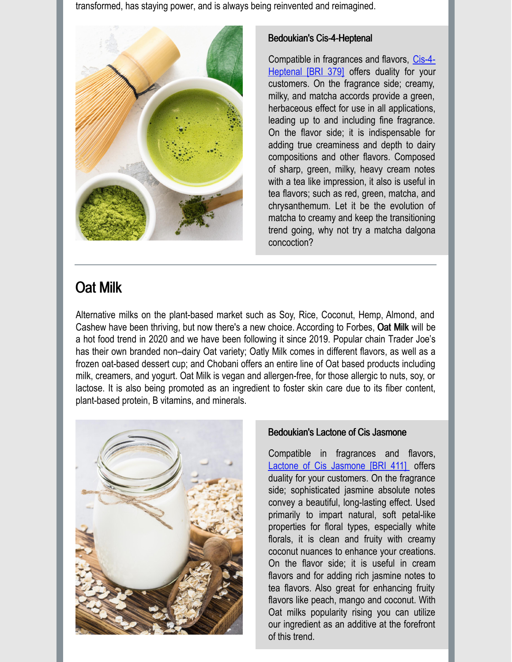transformed, has staying power, and is always being reinvented and reimagined.



### Bedoukian's Cis-4-Heptenal

[Compatible](https://search.bedoukian.com/flavorfragrance/ff_product.asp?method=POP&id=379) in fragrances and flavors, Cis-4- Heptenal [BRI 379] offers duality for your customers. On the fragrance side; creamy, milky, and matcha accords provide a green, herbaceous effect for use in all applications, leading up to and including fine fragrance. On the flavor side; it is indispensable for adding true creaminess and depth to dairy compositions and other flavors. Composed of sharp, green, milky, heavy cream notes with a tea like impression, it also is useful in tea flavors; such as red, green, matcha, and chrysanthemum. Let it be the evolution of matcha to creamy and keep the transitioning trend going, why not try a matcha dalgona concoction?

# Oat Milk

Alternative milks on the plant-based market such as Soy, Rice, Coconut, Hemp, Almond, and Cashew have been thriving, but now there's a new choice. According to Forbes, Oat Milk will be a hot food trend in 2020 and we have been following it since 2019. Popular chain Trader Joe's has their own branded non–dairy Oat variety; Oatly Milk comes in different flavors, as well as a frozen oat-based dessert cup; and Chobani offers an entire line of Oat based products including milk, creamers, and yogurt. Oat Milk is vegan and allergen-free, for those allergic to nuts, soy, or lactose. It is also being promoted as an ingredient to foster skin care due to its fiber content, plant-based protein, B vitamins, and minerals.



### Bedoukian's Lactone of Cis Jasmone

Compatible in fragrances and flavors, Lactone of Cis [Jasmone](https://search.bedoukian.com/flavorfragrance/ff_product.asp?method=POP&id=411) [BRI 411] offers duality for your customers. On the fragrance side; sophisticated jasmine absolute notes convey a beautiful, long-lasting effect. Used primarily to impart natural, soft petal-like properties for floral types, especially white florals, it is clean and fruity with creamy coconut nuances to enhance your creations. On the flavor side; it is useful in cream flavors and for adding rich jasmine notes to tea flavors. Also great for enhancing fruity flavors like peach, mango and coconut. With Oat milks popularity rising you can utilize our ingredient as an additive at the forefront of this trend.